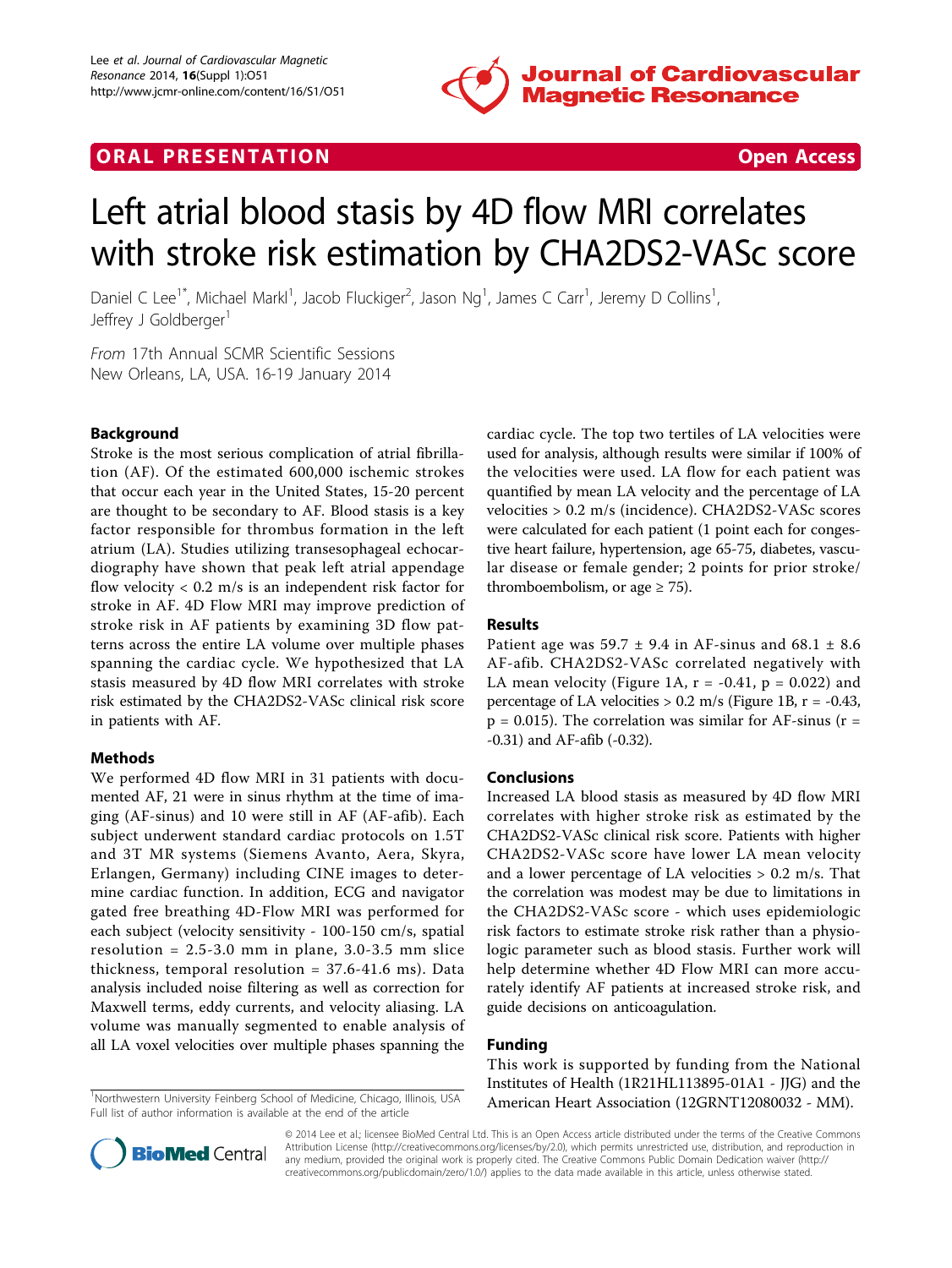

## **ORAL PRESENTATION CONSUMING ACCESS**



# Left atrial blood stasis by 4D flow MRI correlates with stroke risk estimation by CHA2DS2-VASc score

Daniel C Lee<sup>1\*</sup>, Michael Markl<sup>1</sup>, Jacob Fluckiger<sup>2</sup>, Jason Ng<sup>1</sup>, James C Carr<sup>1</sup>, Jeremy D Collins<sup>1</sup> , Jeffrey J Goldberger<sup>1</sup>

From 17th Annual SCMR Scientific Sessions New Orleans, LA, USA. 16-19 January 2014

### Background

Stroke is the most serious complication of atrial fibrillation (AF). Of the estimated 600,000 ischemic strokes that occur each year in the United States, 15-20 percent are thought to be secondary to AF. Blood stasis is a key factor responsible for thrombus formation in the left atrium (LA). Studies utilizing transesophageal echocardiography have shown that peak left atrial appendage flow velocity  $< 0.2$  m/s is an independent risk factor for stroke in AF. 4D Flow MRI may improve prediction of stroke risk in AF patients by examining 3D flow patterns across the entire LA volume over multiple phases spanning the cardiac cycle. We hypothesized that LA stasis measured by 4D flow MRI correlates with stroke risk estimated by the CHA2DS2-VASc clinical risk score in patients with AF.

#### Methods

We performed 4D flow MRI in 31 patients with documented AF, 21 were in sinus rhythm at the time of imaging (AF-sinus) and 10 were still in AF (AF-afib). Each subject underwent standard cardiac protocols on 1.5T and 3T MR systems (Siemens Avanto, Aera, Skyra, Erlangen, Germany) including CINE images to determine cardiac function. In addition, ECG and navigator gated free breathing 4D-Flow MRI was performed for each subject (velocity sensitivity - 100-150 cm/s, spatial resolution =  $2.5 - 3.0$  mm in plane,  $3.0 - 3.5$  mm slice thickness, temporal resolution = 37.6-41.6 ms). Data analysis included noise filtering as well as correction for Maxwell terms, eddy currents, and velocity aliasing. LA volume was manually segmented to enable analysis of all LA voxel velocities over multiple phases spanning the

Full list of author information is available at the end of the article

cardiac cycle. The top two tertiles of LA velocities were used for analysis, although results were similar if 100% of the velocities were used. LA flow for each patient was quantified by mean LA velocity and the percentage of LA velocities > 0.2 m/s (incidence). CHA2DS2-VASc scores were calculated for each patient (1 point each for congestive heart failure, hypertension, age 65-75, diabetes, vascular disease or female gender; 2 points for prior stroke/ thromboembolism, or age  $\geq$  75).

#### Results

Patient age was  $59.7 \pm 9.4$  in AF-sinus and  $68.1 \pm 8.6$ AF-afib. CHA2DS2-VASc correlated negatively with LA mean velocity (Figure [1A](#page-1-0),  $r = -0.41$ ,  $p = 0.022$ ) and percentage of LA velocities  $> 0.2$  m/s (Figure [1B,](#page-1-0) r = -0.43,  $p = 0.015$ ). The correlation was similar for AF-sinus ( $r =$ -0.31) and AF-afib (-0.32).

#### Conclusions

Increased LA blood stasis as measured by 4D flow MRI correlates with higher stroke risk as estimated by the CHA2DS2-VASc clinical risk score. Patients with higher CHA2DS2-VASc score have lower LA mean velocity and a lower percentage of LA velocities  $> 0.2$  m/s. That the correlation was modest may be due to limitations in the CHA2DS2-VASc score - which uses epidemiologic risk factors to estimate stroke risk rather than a physiologic parameter such as blood stasis. Further work will help determine whether 4D Flow MRI can more accurately identify AF patients at increased stroke risk, and guide decisions on anticoagulation.

#### Funding

This work is supported by funding from the National Institutes of Health (1R21HL113895-01A1 - JJG) and the <sup>1</sup>Northwestern University Feinberg School of Medicine, Chicago, Illinois, USA American Heart Association (12GRNT12080032 - MM).



© 2014 Lee et al.; licensee BioMed Central Ltd. This is an Open Access article distributed under the terms of the Creative Commons Attribution License [\(http://creativecommons.org/licenses/by/2.0](http://creativecommons.org/licenses/by/2.0)), which permits unrestricted use, distribution, and reproduction in any medium, provided the original work is properly cited. The Creative Commons Public Domain Dedication waiver [\(http://](http://creativecommons.org/publicdomain/zero/1.0/) [creativecommons.org/publicdomain/zero/1.0/](http://creativecommons.org/publicdomain/zero/1.0/)) applies to the data made available in this article, unless otherwise stated.